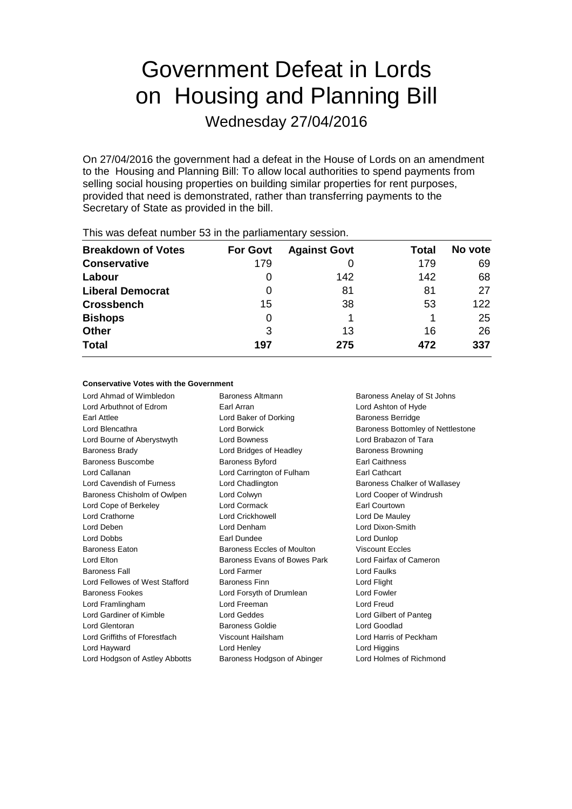# Government Defeat in Lords on Housing and Planning Bill

Wednesday 27/04/2016

On 27/04/2016 the government had a defeat in the House of Lords on an amendment to the Housing and Planning Bill: To allow local authorities to spend payments from selling social housing properties on building similar properties for rent purposes, provided that need is demonstrated, rather than transferring payments to the Secretary of State as provided in the bill.

| <b>Breakdown of Votes</b> | <b>For Govt</b> | <b>Against Govt</b> | Total | No vote |
|---------------------------|-----------------|---------------------|-------|---------|
| <b>Conservative</b>       | 179             |                     | 179   | 69      |
| Labour                    | O               | 142                 | 142   | 68      |
| <b>Liberal Democrat</b>   | 0               | 81                  | 81    | 27      |
| <b>Crossbench</b>         | 15              | 38                  | 53    | 122     |
| <b>Bishops</b>            | 0               |                     |       | 25      |
| <b>Other</b>              | 3               | 13                  | 16    | 26      |
| <b>Total</b>              | 197             | 275                 | 472   | 337     |
|                           |                 |                     |       |         |

This was defeat number 53 in the parliamentary session.

#### **Conservative Votes with the Government**

Lord Ahmad of Wimbledon Baroness Altmann Baroness Anelay of St Johns Lord Arbuthnot of Edrom Earl Arran Lord Ashton of Hyde Earl Attlee **Earl Attlee** Lord Baker of Dorking **Baroness Berridge** Lord Blencathra **Lord Borwick** Baroness Bottomley of Nettlestone Lord Bourne of Aberystwyth Lord Bowness Lord Brabazon of Tara Baroness Brady **Baroness Brady** Lord Bridges of Headley **Baroness Browning** Baroness Buscombe Baroness Byford **Baroness Buscombe** Baroness Byford **Earl Caithness** Lord Callanan Lord Carrington of Fulham Earl Cathcart Lord Cavendish of Furness Lord Chadlington **Baroness Chalker of Wallasey** Baroness Chisholm of Owlpen Lord Colwyn Lord Cooper of Windrush Lord Cope of Berkeley Lord Cormack Earl Courtown Lord Crathorne Lord Crickhowell Lord De Mauley Lord Deben Lord Denham Lord Dixon-Smith Lord Dobbs **Earl Dundee Lord Dunlop Earl Dundee Lord Dunlop** Baroness Eaton Baroness Eccles of Moulton Viscount Eccles Lord Elton **Baroness Evans of Bowes Park** Lord Fairfax of Cameron Baroness Fall **Example 2** Lord Farmer **Lord Faultism** Lord Faulks Lord Fellowes of West Stafford Baroness Finn Lord Flight Baroness Fookes **Lord Forsyth of Drumlean** Lord Fowler Lord Framlingham Lord Freeman Lord Freud Lord Gardiner of Kimble Lord Geddes Lord Gilbert of Panteg Lord Glentoran Baroness Goldie Lord Goodlad Lord Griffiths of Fforestfach Viscount Hailsham Lord Harris of Peckham Lord Hayward Lord Henley Lord Higgins

Lord Hodgson of Astley Abbotts Baroness Hodgson of Abinger Lord Holmes of Richmond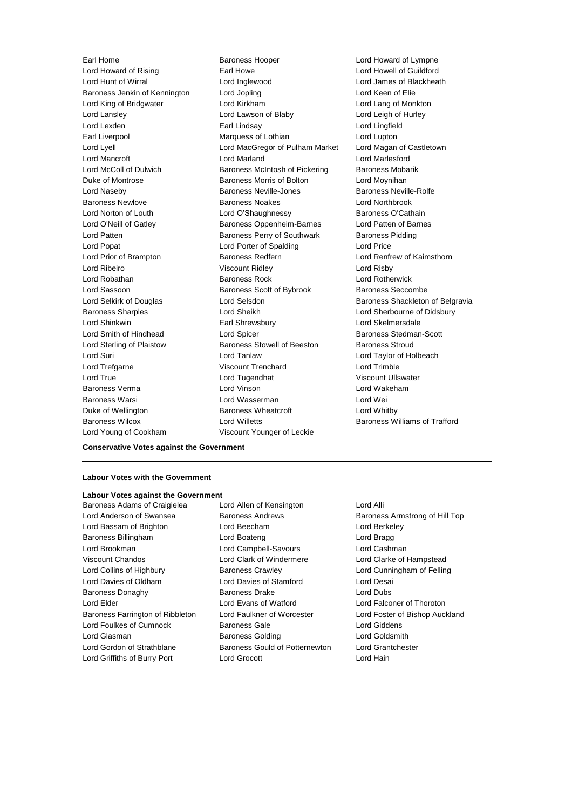Lord Hunt of Wirral Lord Inglewood Lord James of Blackheath Baroness Jenkin of Kennington Lord Jopling Lord Keen of Elie Lord King of Bridgwater Lord Kirkham Lord Lang of Monkton Lord Lansley **Lord Lawson of Blaby** Lord Lord Leigh of Hurley Lord Lexden Earl Lindsay Lord Lingfield Earl Liverpool Marquess of Lothian Lord Lupton Lord Lyell Lord MacGregor of Pulham Market Lord Magan of Castletown Lord Mancroft Lord Marland Lord Marlesford Lord McColl of Dulwich **Baroness McIntosh of Pickering** Baroness Mobarik Duke of Montrose **Baroness Morris of Bolton** Lord Moynihan Lord Naseby **Baroness Neville-Jones** Baroness Neville-Rolfe Baroness Newlove Baroness Noakes Lord Northbrook Lord Norton of Louth **Lord O'Shaughnessy** Baroness O'Cathain Lord O'Neill of Gatley Baroness Oppenheim-Barnes Lord Patten of Barnes Lord Patten **Baroness Perry of Southwark** Baroness Pidding Lord Popat Lord Porter of Spalding Lord Price Lord Ribeiro Viscount Ridley Lord Risby Lord Robathan Baroness Rock Lord Rotherwick Lord Sassoon **Baroness Scott of Bybrook** Baroness Seccombe Lord Selkirk of Douglas **Lord Selsdon** Baroness Shackleton of Belgravia Baroness Sharples **Lord Sheikh** Lord Sheikh Lord Sherbourne of Didsbury Lord Shinkwin Earl Shrewsbury Lord Skelmersdale Lord Smith of Hindhead **Lord Spicer Baroness Stedman-Scott Baroness Stedman-Scott** Lord Sterling of Plaistow Baroness Stowell of Beeston Baroness Stroud Lord Suri Lord Tanlaw Lord Taylor of Holbeach Lord Trefgarne Viscount Trenchard Lord Trimble Lord True Lord Tugendhat Viscount Ullswater Baroness Verma Lord Vinson Lord Wakeham Baroness Warsi Lord Wasserman Lord Wei Duke of Wellington **Baroness Wheatcroft** Lord Whitby Baroness Wilcox Lord Willetts Baroness Williams of Trafford Lord Young of Cookham Viscount Younger of Leckie

Earl Home **Baroness Hooper** Earl Howard of Lympne<br>
Lord Howard of Rising **Baroness Hooper Lord Howell of Guildford** Earl Howe **Lord Howell of Guildford** Baroness Redfern **Baroness Redfern** Lord Renfrew of Kaimsthorn

#### **Conservative Votes against the Government**

### **Labour Votes with the Government**

### **Labour Votes against the Government**

Lord Anderson of Swansea Baroness Andrews Baroness Armstrong of Hill Top Lord Bassam of Brighton Lord Beecham Lord Berkeley Baroness Billingham Lord Boateng Lord Bragg Lord Brookman Lord Campbell-Savours Lord Cashman Viscount Chandos Lord Clark of Windermere Lord Clarke of Hampstead Lord Collins of Highbury Baroness Crawley Lord Cunningham of Felling Lord Davies of Oldham Lord Davies of Stamford Lord Desai Baroness Donaghy **Baroness Drake** Lord Dubs Lord Elder Lord Evans of Watford Lord Falconer of Thoroton Baroness Farrington of Ribbleton Lord Faulkner of Worcester Lord Foster of Bishop Auckland Lord Foulkes of Cumnock Baroness Gale Lord Giddens Lord Glasman **Baroness Golding Community** Lord Goldsmith Lord Gordon of Strathblane **Baroness Gould of Potternewton** Lord Grantchester Lord Griffiths of Burry Port Lord Grocott Lord Hain

Baroness Adams of Craigielea Lord Allen of Kensington Lord Alli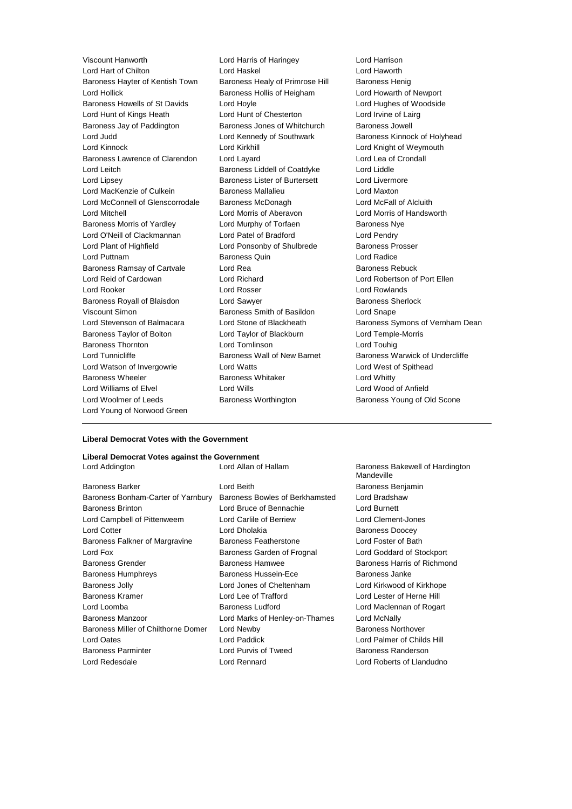Lord Hart of Chilton Lord Haskel Lord Haworth Baroness Hayter of Kentish Town Baroness Healy of Primrose Hill Baroness Henig Lord Hollick Baroness Hollis of Heigham Lord Howarth of Newport Baroness Howells of St Davids Lord Hoyle Lord Howle Lord Hughes of Woodside Lord Hunt of Kings Heath Lord Hunt of Chesterton Lord Irvine of Lairg Baroness Jay of Paddington Baroness Jones of Whitchurch Baroness Jowell Lord Judd **Lord Kennedy of Southwark** Baroness Kinnock of Holyhead Lord Kinnock **Lord Kirkhill** Lord Kirkhill Lord Knight of Weymouth Baroness Lawrence of Clarendon Lord Layard Lord Lea of Crondall Lord Leitch **Baroness Liddell of Coatdyke** Lord Liddle Lord Lipsey Baroness Lister of Burtersett Lord Livermore Lord MacKenzie of Culkein Baroness Mallalieu Lord Maxton Lord McConnell of Glenscorrodale Baroness McDonagh Lord McFall of Alcluith Lord Mitchell Lord Morris of Aberavon Lord Morris of Handsworth Baroness Morris of Yardley **Lord Murphy of Torfaen** Baroness Nye Lord O'Neill of Clackmannan Lord Patel of Bradford Lord Pendry Lord Plant of Highfield **Lord Ponsonby of Shulbrede** Baroness Prosser Lord Puttnam Baroness Quin Lord Radice Baroness Ramsay of Cartvale Lord Rea **Baroness Rebuck** Lord Reid of Cardowan Lord Richard Lord Robertson of Port Ellen Lord Rooker Lord Rosser Lord Rowlands Baroness Royall of Blaisdon Lord Sawyer **Baroness Sherlock** Baroness Sherlock Viscount Simon Baroness Smith of Basildon Lord Snape Lord Stevenson of Balmacara Lord Stone of Blackheath Baroness Symons of Vernham Dean Baroness Taylor of Bolton Lord Taylor of Blackburn Lord Temple-Morris Baroness Thornton Lord Tomlinson Lord Touhig Lord Tunnicliffe **Baroness Wall of New Barnet** Baroness Warwick of Undercliffe Lord Watson of Invergowrie Lord Watts Lord West of Spithead Baroness Wheeler **Baroness Whitaker** Baroness Whitaker **Lord Whitty** Lord Williams of Elvel Lord Wills Lord Wood of Anfield Lord Woolmer of Leeds **Baroness Worthington** Baroness Young of Old Scone Lord Young of Norwood Green

Viscount Hanworth Lord Harris of Haringey Lord Harrison

#### **Liberal Democrat Votes with the Government**

#### **Liberal Democrat Votes against the Government**

Baroness Barker **Communist Communist Communist Communist Communist Communist Communist Communist Communist Communist Communist Communist Communist Communist Communist Communist Communist Communist Communist Communist Commu** Baroness Bonham-Carter of Yarnbury Baroness Bowles of Berkhamsted Lord Bradshaw Baroness Brinton Lord Bruce of Bennachie Lord Burnett Lord Campbell of Pittenweem Lord Carlile of Berriew Lord Clement-Jones **Lord Cotter Lord Cotter Lord Cotter Lord Cotter Lord Cotter Lord Cotter Lord Cotter Lord Cotter Lord Cotter Lord Cotter Lord Cotter Lord Cotter Lord Cotter Lord Cotter Lord Cotter Lord Cotte** Baroness Falkner of Margravine Baroness Featherstone Lord Foster of Bath Lord Fox Baroness Garden of Frognal Lord Goddard of Stockport Baroness Grender **Baroness Hammed** Baroness Hamwee **Baroness Hammed** Baroness Harris of Richmond Baroness Humphreys Baroness Hussein-Ece Baroness Janke Baroness Jolly Lord Jones of Cheltenham Lord Kirkwood of Kirkhope Baroness Kramer Lord Lee of Trafford Lord Lester of Herne Hill Lord Loomba Baroness Ludford Lord Maclennan of Rogart Baroness Manzoor Lord Marks of Henley-on-Thames Lord McNally Baroness Miller of Chilthorne Domer Lord Newby **Baroness Northover** Baroness Northover Lord Oates Lord Paddick Lord Palmer of Childs Hill Baroness Parminter Lord Purvis of Tweed Baroness Randerson Lord Redesdale Lord Rennard Lord Roberts of Llandudno

Lord Addington **Lord Allan of Hallam** Baroness Bakewell of Hardington **Mandeville**